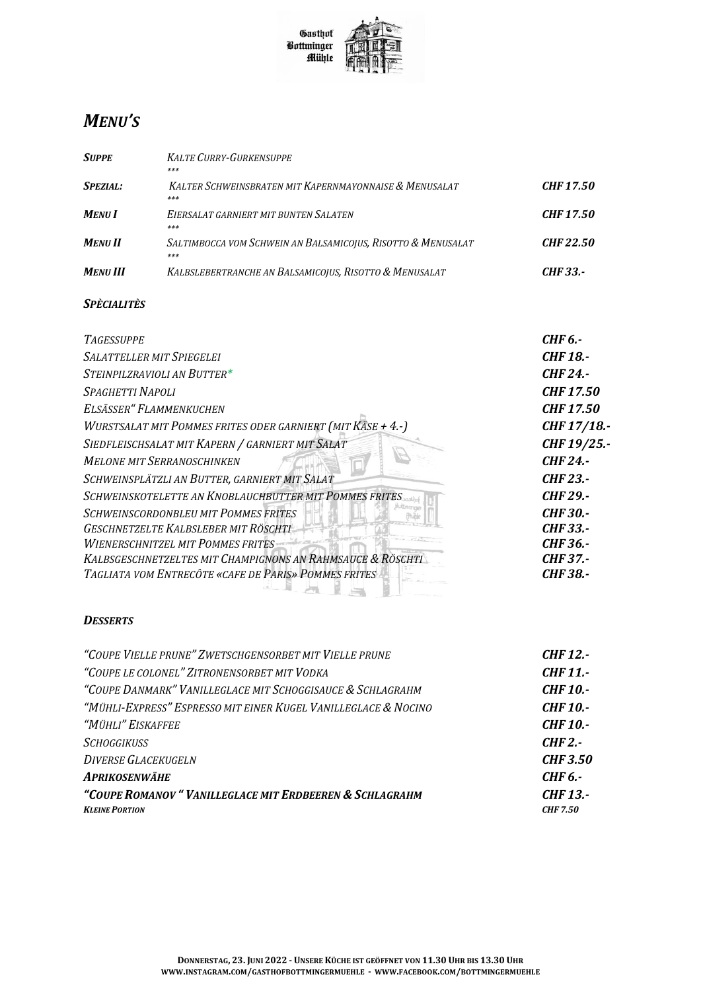

## **MENU'S**

| <b>SUPPE</b>    | <b>KALTE CURRY-GURKENSUPPE</b><br>***                               |                  |
|-----------------|---------------------------------------------------------------------|------------------|
| <b>SPEZIAL:</b> | KALTER SCHWEINSBRATEN MIT KAPERNMAYONNAISE & MENUSALAT<br>***       | <b>CHF 17.50</b> |
| <b>MENUI</b>    | EIERSALAT GARNIERT MIT BUNTEN SALATEN<br>***                        | <b>CHF 17.50</b> |
| <b>MENU II</b>  | SALTIMBOCCA VOM SCHWEIN AN BALSAMICOJUS, RISOTTO & MENUSALAT<br>*** | <b>CHF 22.50</b> |
| <b>MENU III</b> | KALBSLEBERTRANCHE AN BALSAMICOJUS, RISOTTO & MENUSALAT              | CHF 33.-         |

## **SPÈCIALITÈS**

| <b>TAGESSUPPE</b>                                           | <b>CHF 6.-</b>   |
|-------------------------------------------------------------|------------------|
| <b>SALATTELLER MIT SPIEGELEI</b>                            | <b>CHF 18.-</b>  |
| STEINPILZRAVIOLI AN BUTTER*                                 | <b>CHF 24.-</b>  |
| SPAGHETTI NAPOLI                                            | <b>CHF17.50</b>  |
| ELSÄSSER" FLAMMENKUCHEN                                     | <b>CHF 17.50</b> |
| WURSTSALAT MIT POMMES FRITES ODER GARNIERT (MIT KÄSE + 4.-) | CHF 17/18.-      |
| SIEDFLEISCHSALAT MIT KAPERN / GARNIERT MIT SALAT            | CHF 19/25.-      |
| <b>MELONE MIT SERRANOSCHINKEN</b>                           | <b>CHF 24.-</b>  |
| SCHWEINSPLÄTZLI AN BUTTER, GARNIERT MIT SALAT               | <b>CHF 23.-</b>  |
| SCHWEINSKOTELETTE AN KNOBLAUCHBUTTER MIT POMMES FRITES      | <b>CHF 29.-</b>  |
| <b>SCHWEINSCORDONBLEU MIT POMMES FRITES</b>                 | <b>CHF30.-</b>   |
| GESCHNETZELTE KALBSLEBER MIT RÖSCHTI                        | <b>CHF33.-</b>   |
| <b>WIENERSCHNITZEL MIT POMMES FRITES</b>                    | CHF 36.-         |
| KALBSGESCHNETZELTES MIT CHAMPIGNONS AN RAHMSAUCE & RÖSCHTI  | <b>CHF 37.-</b>  |
| TAGLIATA VOM ENTRECÔTE «CAFE DE PARIS» POMMES FRITES        | <b>CHF 38.-</b>  |
|                                                             |                  |

## **DESSERTS**

| "COUPE VIELLE PRUNE" ZWETSCHGENSORBET MIT VIELLE PRUNE          | CHF 12.-        |
|-----------------------------------------------------------------|-----------------|
| "COUPE LE COLONEL" ZITRONENSORBET MIT VODKA                     | <b>CHF 11.-</b> |
| "COUPE DANMARK" VANILLEGLACE MIT SCHOGGISAUCE & SCHLAGRAHM      | CHF 10.-        |
| "Mühli-Express" Espresso mit einer Kugel Vanilleglace & Nocino" | CHF 10.-        |
| "Mühli" Eiskaffee                                               | <b>CHF 10.-</b> |
| <i>SCHOGGIKUSS</i>                                              | $CHF2. -$       |
| <b>DIVERSE GLACEKUGELN</b>                                      | <b>CHF 3.50</b> |
| <b>APRIKOSENWÄHE</b>                                            | CHF 6.-         |
| "COUPE ROMANOV" VANILLEGLACE MIT ERDBEEREN & SCHLAGRAHM         | <b>CHF 13.-</b> |
| <b>KLEINE PORTION</b>                                           | <b>CHF 7.50</b> |